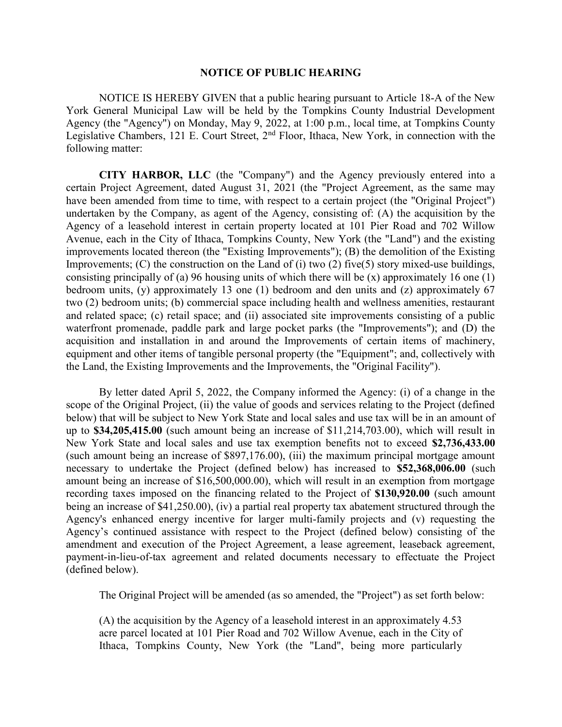## NOTICE OF PUBLIC HEARING

 NOTICE IS HEREBY GIVEN that a public hearing pursuant to Article 18-A of the New York General Municipal Law will be held by the Tompkins County Industrial Development Agency (the "Agency") on Monday, May 9, 2022, at 1:00 p.m., local time, at Tompkins County Legislative Chambers, 121 E. Court Street, 2nd Floor, Ithaca, New York, in connection with the following matter:

CITY HARBOR, LLC (the "Company") and the Agency previously entered into a certain Project Agreement, dated August 31, 2021 (the "Project Agreement, as the same may have been amended from time to time, with respect to a certain project (the "Original Project") undertaken by the Company, as agent of the Agency, consisting of: (A) the acquisition by the Agency of a leasehold interest in certain property located at 101 Pier Road and 702 Willow Avenue, each in the City of Ithaca, Tompkins County, New York (the "Land") and the existing improvements located thereon (the "Existing Improvements"); (B) the demolition of the Existing Improvements; (C) the construction on the Land of (i) two (2) five(5) story mixed-use buildings, consisting principally of (a) 96 housing units of which there will be (x) approximately 16 one (1) bedroom units, (y) approximately 13 one (1) bedroom and den units and (z) approximately 67 two (2) bedroom units; (b) commercial space including health and wellness amenities, restaurant and related space; (c) retail space; and (ii) associated site improvements consisting of a public waterfront promenade, paddle park and large pocket parks (the "Improvements"); and (D) the acquisition and installation in and around the Improvements of certain items of machinery, equipment and other items of tangible personal property (the "Equipment"; and, collectively with the Land, the Existing Improvements and the Improvements, the "Original Facility").

By letter dated April 5, 2022, the Company informed the Agency: (i) of a change in the scope of the Original Project, (ii) the value of goods and services relating to the Project (defined below) that will be subject to New York State and local sales and use tax will be in an amount of up to \$34,205,415.00 (such amount being an increase of \$11,214,703.00), which will result in New York State and local sales and use tax exemption benefits not to exceed \$2,736,433.00 (such amount being an increase of \$897,176.00), (iii) the maximum principal mortgage amount necessary to undertake the Project (defined below) has increased to \$52,368,006.00 (such amount being an increase of \$16,500,000.00), which will result in an exemption from mortgage recording taxes imposed on the financing related to the Project of \$130,920.00 (such amount being an increase of \$41,250.00), (iv) a partial real property tax abatement structured through the Agency's enhanced energy incentive for larger multi-family projects and (v) requesting the Agency's continued assistance with respect to the Project (defined below) consisting of the amendment and execution of the Project Agreement, a lease agreement, leaseback agreement, payment-in-lieu-of-tax agreement and related documents necessary to effectuate the Project (defined below).

The Original Project will be amended (as so amended, the "Project") as set forth below:

(A) the acquisition by the Agency of a leasehold interest in an approximately 4.53 acre parcel located at 101 Pier Road and 702 Willow Avenue, each in the City of Ithaca, Tompkins County, New York (the "Land", being more particularly